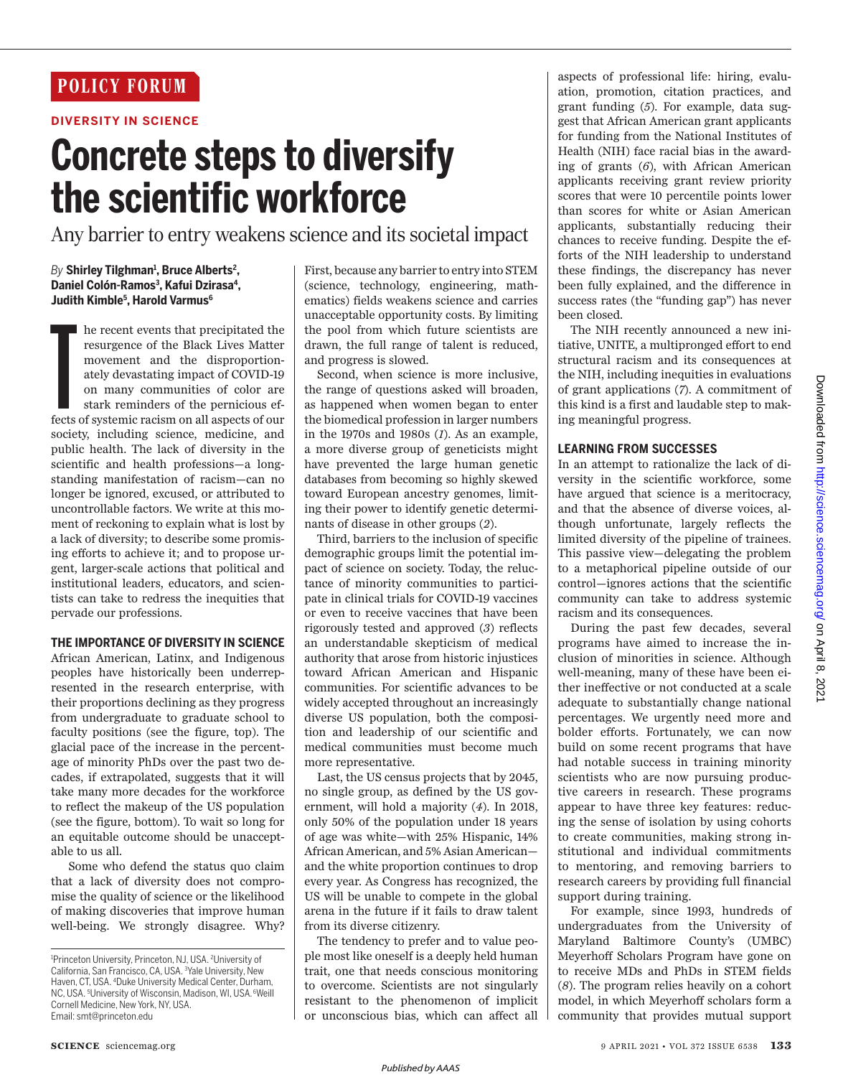## **POLICY FORUM**

## **DIVERSITY IN SCIENCE**

# **Concrete steps to diversify the scientific workforce**

Any barrier to entry weakens science and its societal impact

## *By* **Shirley Tilghman<sup>1</sup> , Bruce Alberts<sup>2</sup> , Daniel Colón-Ramos<sup>3</sup> , Kafui Dzirasa<sup>4</sup> , Judith Kimble<sup>5</sup> , Harold Varmus<sup>6</sup>**

Interaction and the precipitated the resurgence of the Black Lives Matter movement and the disproportionately devastating impact of COVID-19 on many communities of color are stark reminders of the pernicious effects of sys he recent events that precipitated the resurgence of the Black Lives Matter movement and the disproportionately devastating impact of COVID-19 on many communities of color are stark reminders of the pernicious efsociety, including science, medicine, and public health. The lack of diversity in the scientific and health professions—a longstanding manifestation of racism—can no longer be ignored, excused, or attributed to uncontrollable factors. We write at this moment of reckoning to explain what is lost by a lack of diversity; to describe some promising efforts to achieve it; and to propose urgent, larger-scale actions that political and institutional leaders, educators, and scientists can take to redress the inequities that pervade our professions.

## **THE IMPORTANCE OF DIVERSITY IN SCIENCE**

African American, Latinx, and Indigenous peoples have historically been underrepresented in the research enterprise, with their proportions declining as they progress from undergraduate to graduate school to faculty positions (see the figure, top). The glacial pace of the increase in the percentage of minority PhDs over the past two decades, if extrapolated, suggests that it will take many more decades for the workforce to reflect the makeup of the US population (see the figure, bottom). To wait so long for an equitable outcome should be unacceptable to us all.

 Some who defend the status quo claim that a lack of diversity does not compromise the quality of science or the likelihood of making discoveries that improve human well-being. We strongly disagree. Why?

First, because any barrier to entry into STEM (science, technology, engineering, mathematics) fields weakens science and carries unacceptable opportunity costs. By limiting the pool from which future scientists are drawn, the full range of talent is reduced, and progress is slowed.

Second, when science is more inclusive, the range of questions asked will broaden, as happened when women began to enter the biomedical profession in larger numbers in the 1970s and 1980s (*1*). As an example, a more diverse group of geneticists might have prevented the large human genetic databases from becoming so highly skewed toward European ancestry genomes, limiting their power to identify genetic determinants of disease in other groups (*2*).

Third, barriers to the inclusion of specific demographic groups limit the potential impact of science on society. Today, the reluctance of minority communities to participate in clinical trials for COVID-19 vaccines or even to receive vaccines that have been rigorously tested and approved (*3*) reflects an understandable skepticism of medical authority that arose from historic injustices toward African American and Hispanic communities. For scientific advances to be widely accepted throughout an increasingly diverse US population, both the composition and leadership of our scientific and medical communities must become much more representative.

Last, the US census projects that by 2045, no single group, as defined by the US government, will hold a majority (*4*). In 2018, only 50% of the population under 18 years of age was white—with 25% Hispanic, 14% African American, and 5% Asian American and the white proportion continues to drop every year. As Congress has recognized, the US will be unable to compete in the global arena in the future if it fails to draw talent from its diverse citizenry.

The tendency to prefer and to value people most like oneself is a deeply held human trait, one that needs conscious monitoring to overcome. Scientists are not singularly resistant to the phenomenon of implicit or unconscious bias, which can affect all

aspects of professional life: hiring, evaluation, promotion, citation practices, and grant funding (*5*). For example, data suggest that African American grant applicants for funding from the National Institutes of Health (NIH) face racial bias in the awarding of grants (*6*), with African American applicants receiving grant review priority scores that were 10 percentile points lower than scores for white or Asian American applicants, substantially reducing their chances to receive funding. Despite the efforts of the NIH leadership to understand these findings, the discrepancy has never been fully explained, and the difference in success rates (the "funding gap") has never been closed.

The NIH recently announced a new initiative, UNITE, a multipronged effort to end structural racism and its consequences at the NIH, including inequities in evaluations of grant applications (*7*). A commitment of this kind is a first and laudable step to making meaningful progress.

## **LEARNING FROM SUCCESSES**

In an attempt to rationalize the lack of diversity in the scientific workforce, some have argued that science is a meritocracy, and that the absence of diverse voices, although unfortunate, largely reflects the limited diversity of the pipeline of trainees. This passive view—delegating the problem to a metaphorical pipeline outside of our control—ignores actions that the scientific community can take to address systemic racism and its consequences.

During the past few decades, several programs have aimed to increase the inclusion of minorities in science. Although well-meaning, many of these have been either ineffective or not conducted at a scale adequate to substantially change national percentages. We urgently need more and bolder efforts. Fortunately, we can now build on some recent programs that have had notable success in training minority scientists who are now pursuing productive careers in research. These programs appear to have three key features: reducing the sense of isolation by using cohorts to create communities, making strong institutional and individual commitments to mentoring, and removing barriers to research careers by providing full financial support during training.

For example, since 1993, hundreds of undergraduates from the University of Maryland Baltimore County's (UMBC) Meyerhoff Scholars Program have gone on to receive MDs and PhDs in STEM fields (*8*). The program relies heavily on a cohort model, in which Meyerhoff scholars form a community that provides mutual support

<sup>1</sup>Princeton University, Princeton, NJ, USA. <sup>2</sup>University of California, San Francisco, CA, USA. <sup>3</sup>Yale University, New Haven, CT, USA. <sup>4</sup>Duke University Medical Center, Durham, NC, USA. <sup>5</sup>University of Wisconsin, Madison, WI, USA. <sup>6</sup>Weill Cornell Medicine, New York, NY, USA. Email: smt@princeton.edu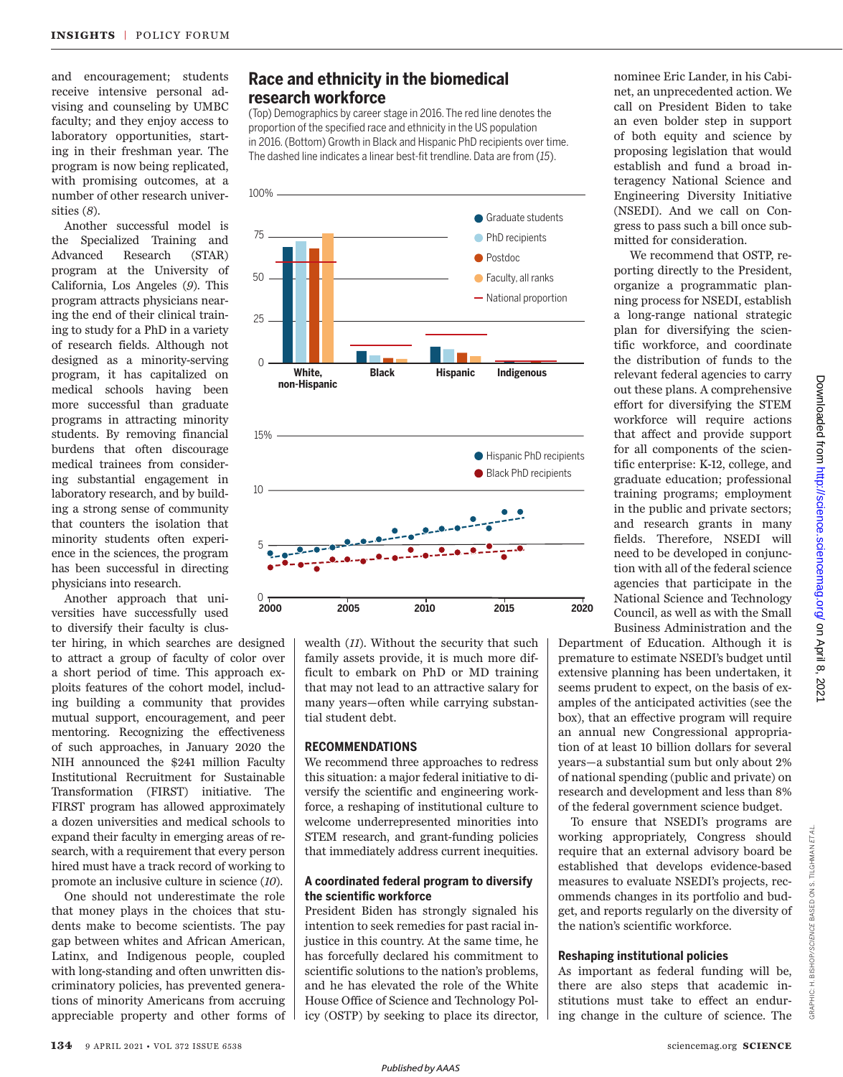and encouragement; students receive intensive personal advising and counseling by UMBC faculty; and they enjoy access to laboratory opportunities, starting in their freshman year. The program is now being replicated, with promising outcomes, at a number of other research universities (*8*).

Another successful model is the Specialized Training and Advanced Research (STAR) program at the University of California, Los Angeles (*9*). This program attracts physicians nearing the end of their clinical training to study for a PhD in a variety of research fields. Although not designed as a minority-serving program, it has capitalized on medical schools having been more successful than graduate programs in attracting minority students. By removing financial burdens that often discourage medical trainees from considering substantial engagement in laboratory research, and by building a strong sense of community that counters the isolation that minority students often experience in the sciences, the program has been successful in directing physicians into research.

Another approach that universities have successfully used to diversify their faculty is clus-

ter hiring, in which searches are designed to attract a group of faculty of color over a short period of time. This approach exploits features of the cohort model, including building a community that provides mutual support, encouragement, and peer mentoring. Recognizing the effectiveness of such approaches, in January 2020 the NIH announced the \$241 million Faculty Institutional Recruitment for Sustainable Transformation (FIRST) initiative. The FIRST program has allowed approximately a dozen universities and medical schools to expand their faculty in emerging areas of research, with a requirement that every person hired must have a track record of working to promote an inclusive culture in science (*10*).

One should not underestimate the role that money plays in the choices that students make to become scientists. The pay gap between whites and African American, Latinx, and Indigenous people, coupled with long-standing and often unwritten discriminatory policies, has prevented generations of minority Americans from accruing appreciable property and other forms of

## **Race and ethnicity in the biomedical research workforce**

(Top) Demographics by career stage in 2016. The red line denotes the proportion of the specified race and ethnicity in the US population in 2016. (Bottom) Growth in Black and Hispanic PhD recipients over time. The dashed line indicates a linear best-fit trendline. Data are from (*15*).



wealth (*11*). Without the security that such family assets provide, it is much more difficult to embark on PhD or MD training that may not lead to an attractive salary for many years—often while carrying substantial student debt.

## **RECOMMENDATIONS**

We recommend three approaches to redress this situation: a major federal initiative to diversify the scientific and engineering workforce, a reshaping of institutional culture to welcome underrepresented minorities into STEM research, and grant-funding policies that immediately address current inequities.

## **A coordinated federal program to diversify the scientific workforce**

 President Biden has strongly signaled his intention to seek remedies for past racial injustice in this country. At the same time, he has forcefully declared his commitment to scientific solutions to the nation's problems, and he has elevated the role of the White House Office of Science and Technology Policy (OSTP) by seeking to place its director, nominee Eric Lander, in his Cabinet, an unprecedented action. We call on President Biden to take an even bolder step in support of both equity and science by proposing legislation that would establish and fund a broad interagency National Science and Engineering Diversity Initiative (NSEDI). And we call on Congress to pass such a bill once submitted for consideration.

 We recommend that OSTP, reporting directly to the President, organize a programmatic planning process for NSEDI, establish a long-range national strategic plan for diversifying the scientific workforce, and coordinate the distribution of funds to the relevant federal agencies to carry out these plans. A comprehensive effort for diversifying the STEM workforce will require actions that affect and provide support for all components of the scientific enterprise: K-12, college, and graduate education; professional training programs; employment in the public and private sectors; and research grants in many fields. Therefore, NSEDI will need to be developed in conjunction with all of the federal science agencies that participate in the National Science and Technology Council, as well as with the Small Business Administration and the

Department of Education. Although it is premature to estimate NSEDI's budget until extensive planning has been undertaken, it seems prudent to expect, on the basis of examples of the anticipated activities (see the box), that an effective program will require an annual new Congressional appropriation of at least 10 billion dollars for several years—a substantial sum but only about 2% of national spending (public and private) on research and development and less than 8% of the federal government science budget.

To ensure that NSEDI's programs are working appropriately, Congress should require that an external advisory board be established that develops evidence-based measures to evaluate NSEDI's projects, recommends changes in its portfolio and budget, and reports regularly on the diversity of the nation's scientific workforce.

#### **Reshaping institutional policies**

As important as federal funding will be, there are also steps that academic institutions must take to effect an enduring change in the culture of science. The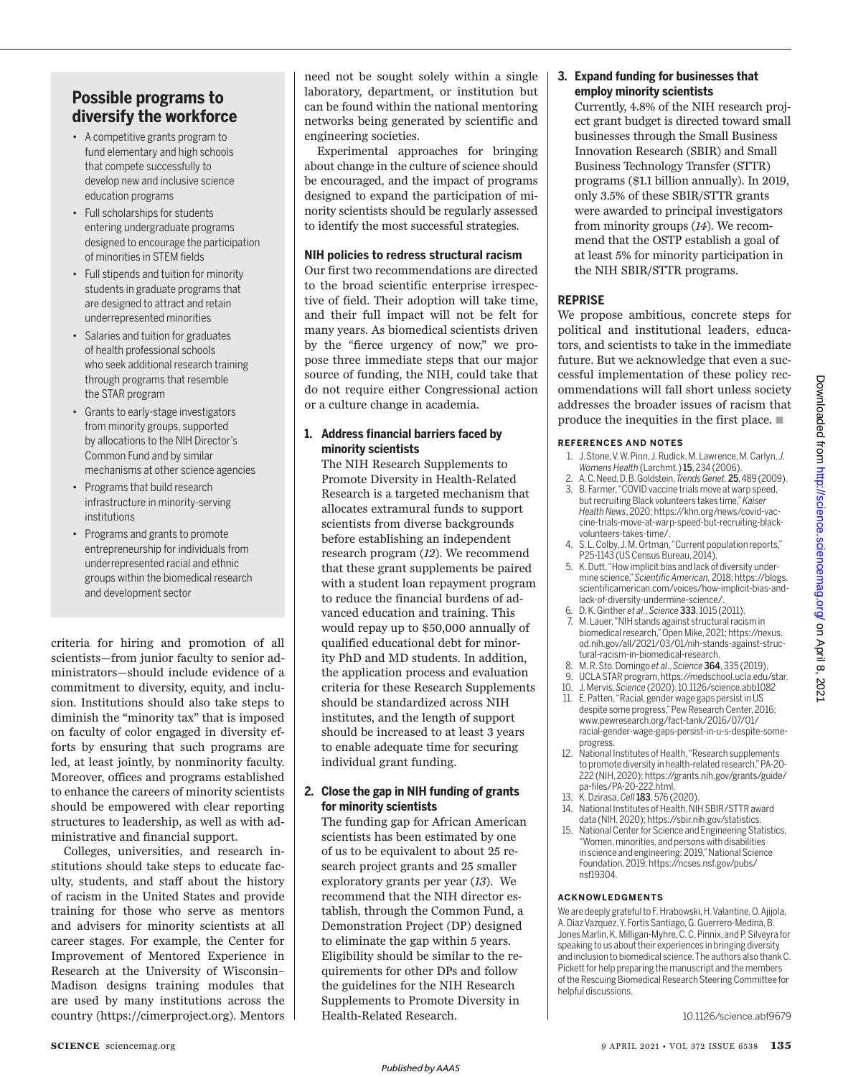## **Possible programs to diversify the workforce**

- A competitive grants program to fund elementary and high schools that compete successfully to develop new and inclusive science education programs
- Full scholarships for students entering undergraduate programs designed to encourage the participation of minorities in STEM fields
- Full stipends and tuition for minority students in graduate programs that are designed to attract and retain underrepresented minorities
- Salaries and tuition for graduates of health professional schools who seek additional research training through programs that resemble the STAR program
- Grants to early-stage investigators from minority groups, supported by allocations to the NIH Director's Common Fund and by similar mechanisms at other science agencies
- Programs that build research infrastructure in minority-serving institutions
- Programs and grants to promote entrepreneurship for individuals from underrepresented racial and ethnic groups within the biomedical research and development sector

criteria for hiring and promotion of all scientists—from junior faculty to senior administrators—should include evidence of a commitment to diversity, equity, and inclusion. Institutions should also take steps to diminish the "minority tax" that is imposed on faculty of color engaged in diversity efforts by ensuring that such programs are led, at least jointly, by nonminority faculty. Moreover, offices and programs established to enhance the careers of minority scientists should be empowered with clear reporting structures to leadership, as well as with administrative and financial support.

Colleges, universities, and research institutions should take steps to educate faculty, students, and staff about the history of racism in the United States and provide training for those who serve as mentors and advisers for minority scientists at all career stages. For example, the Center for Improvement of Mentored Experience in Research at the University of Wisconsin– Madison designs training modules that are used by many institutions across the country (https://cimerproject.org). Mentors need not be sought solely within a single laboratory, department, or institution but can be found within the national mentoring networks being generated by scientific and engineering societies.

Experimental approaches for bringing about change in the culture of science should be encouraged, and the impact of programs designed to expand the participation of minority scientists should be regularly assessed to identify the most successful strategies.

## **NIH policies to redress structural racism**

Our first two recommendations are directed to the broad scientific enterprise irrespective of field. Their adoption will take time, and their full impact will not be felt for many years. As biomedical scientists driven by the "fierce urgency of now," we propose three immediate steps that our major source of funding, the NIH, could take that do not require either Congressional action or a culture change in academia.

## **1. Address financial barriers faced by minority scientists**

The NIH Research Supplements to Promote Diversity in Health-Related Research is a targeted mechanism that allocates extramural funds to support scientists from diverse backgrounds before establishing an independent research program (*12*). We recommend that these grant supplements be paired with a student loan repayment program to reduce the financial burdens of advanced education and training. This would repay up to \$50,000 annually of qualified educational debt for minority PhD and MD students. In addition, the application process and evaluation criteria for these Research Supplements should be standardized across NIH institutes, and the length of support should be increased to at least 3 years to enable adequate time for securing individual grant funding.

## **2. Close the gap in NIH funding of grants for minority scientists**

The funding gap for African American scientists has been estimated by one of us to be equivalent to about 25 research project grants and 25 smaller exploratory grants per year (*13*). We recommend that the NIH director establish, through the Common Fund, a Demonstration Project (DP) designed to eliminate the gap within 5 years. Eligibility should be similar to the requirements for other DPs and follow the guidelines for the NIH Research Supplements to Promote Diversity in Health-Related Research.

## **3. Expand funding for businesses that employ minority scientists**

Currently, 4.8% of the NIH research project grant budget is directed toward small businesses through the Small Business Innovation Research (SBIR) and Small Business Technology Transfer (STTR) programs (\$1.1 billion annually). In 2019, only 3.5% of these SBIR/STTR grants were awarded to principal investigators from minority groups (*14*). We recommend that the OSTP establish a goal of at least 5% for minority participation in the NIH SBIR/STTR programs.

## **REPRISE**

We propose ambitious, concrete steps for political and institutional leaders, educators, and scientists to take in the immediate future. But we acknowledge that even a successful implementation of these policy recommendations will fall short unless society addresses the broader issues of racism that produce the inequities in the first place.  $\blacksquare$ 

## **REFERENCES AND NOTES**

- 1. J. Stone, V. W. Pinn, J. Rudick, M. Lawrence, M. Carlyn, *J. Womens Health* (Larchmt.) 15, 234 (2006).
- 2. A. C. Need, D. B. Goldstein, *Trends Genet.*25, 489 (2009). B. Farmer, "COVID vaccine trials move at warp speed
- but recruiting Black volunteers takes time," *Kaiser Health News*, 2020; https://khn.org/news/covid-vaccine-trials-move-at-warp-speed-but-recruiting-blackvolunteers-takes-time/.
- 4. S. L. Colby, J. M. Ortman, "Current population reports," P25-1143 (US Census Bureau, 2014).
- 5. K. Dutt, "How implicit bias and lack of diversity undermine science," *Scientific American,* 2018; https://blogs. scientificamerican.com/voices/how-implicit-bias-andlack-of-diversity-undermine-science/.
- 6. D. K. Ginther *et al*., *Science* 333, 1015 (2011).
- M. Lauer, "NIH stands against structural racism in biomedical research," Open Mike, 2021; https://nexus. od.nih.gov/all/2021/03/01/nih-stands-against-structural-racism-in-biomedical-research.
- 8. M. R. Sto. Domingo *et al*., *Science* 364, 335 (2019).
	- 9. UCLA STAR program, https://medschool.ucla.edu/star. 10. J. Mervis, *Science* (2020). 10.1126/science.abb1082
	- 11. E. Patten, "Racial, gender wage gaps persist in US despite some progress," Pew Research Center, 2016; www.pewresearch.org/fact-tank/2016/07/01/ racial-gender-wage-gaps-persist-in-u-s-despite-someprogress.
	- 12. National Institutes of Health, "Research supplements to promote diversity in health-related research," PA-20- 222 (NIH, 2020); https://grants.nih.gov/grants/guide/ pa-files/PA-20-222.html.
	- 13. K. Dzirasa, *Cell*183, 576 (2020).
	- 14. National Institutes of Health, NIH SBIR/STTR award data (NIH, 2020); https://sbir.nih.gov/statistics.
	- 15. National Center for Science and Engineering Statistics, "Women, minorities, and persons with disabilities in science and engineering: 2019," National Science Foundation, 2019; https://ncses.nsf.gov/pubs/ nsf19304.

## **ACKNOWLEDGMENTS**

We are deeply grateful to F. Hrabowski, H. Valantine, O. Ajijola, A. Diaz Vazquez, Y. Fortis Santiago, G. Guerrero-Medina, B. Jones Marlin, K. Milligan-Myhre, C. C. Pinnix, and P. Silveyra for speaking to us about their experiences in bringing diversity and inclusion to biomedical science. The authors also thank C. Pickett for help preparing the manuscript and the members of the Rescuing Biomedical Research Steering Committee for helpful discussions.

10.1126/science.abf9679